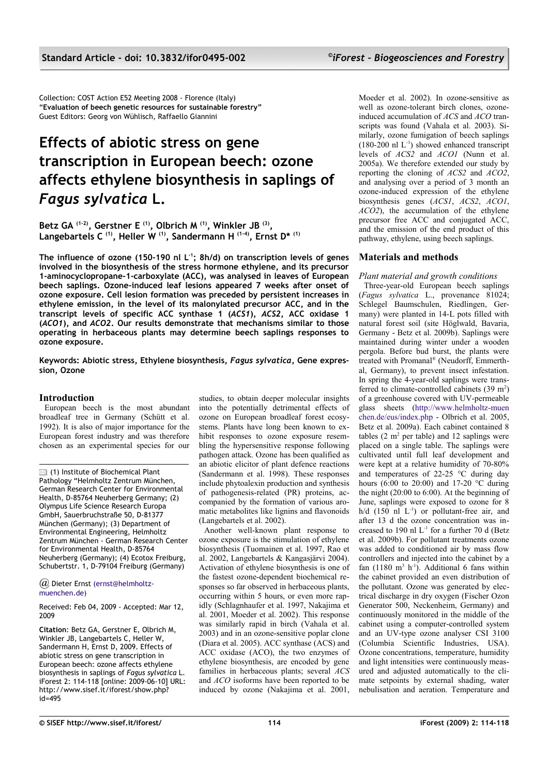Collection: COST Action E52 Meeting 2008 - Florence (Italy) "**Evaluation of beech genetic resources for sustainable forestry"** Guest Editors: Georg von Wühlisch, Raffaello Giannini

# **Effects of abiotic stress on gene transcription in European beech: ozone affects ethylene biosynthesis in saplings of** *Fagus sylvatica* **L.**

**Betz GA (1-2), Gerstner E (1), Olbrich M (1), Winkler JB (3) , Langebartels C (1), Heller W (1), Sandermann H (1-4), Ernst D\* (1)**

**The influence of ozone (150-190 nl L-1; 8h/d) on transcription levels of genes involved in the biosynthesis of the stress hormone ethylene, and its precursor 1-aminocyclopropane-1-carboxylate (ACC), was analysed in leaves of European beech saplings. Ozone-induced leaf lesions appeared 7 weeks after onset of ozone exposure. Cell lesion formation was preceded by persistent increases in ethylene emission, in the level of its malonylated precursor ACC, and in the transcript levels of specific ACC synthase 1 (***ACS1***),** *ACS2***, ACC oxidase 1 (***ACO1***), and** *ACO2***. Our results demonstrate that mechanisms similar to those operating in herbaceous plants may determine beech saplings responses to ozone exposure.**

**Keywords: Abiotic stress, Ethylene biosynthesis,** *Fagus sylvatica***, Gene expression, Ozone**

# **Introduction**

European beech is the most abundant broadleaf tree in Germany (Schütt et al. 1992). It is also of major importance for the European forest industry and was therefore chosen as an experimental species for our

 $\boxtimes$  (1) Institute of Biochemical Plant Pathology "Helmholtz Zentrum München, German Research Center for Environmental Health, D-85764 Neuherberg Germany; (2) Olympus Life Science Research Europa GmbH, Sauerbruchstraße 50, D-81377 München (Germany); (3) Department of Environmental Engineering, Helmholtz Zentrum München - German Research Center for Environmental Health, D-85764 Neuherberg (Germany); (4) Ecotox Freiburg, Schubertstr. 1, D-79104 Freiburg (Germany)

*@* Dieter Ernst [\(ernst@helmholtz](mailto:ernst@helmholtz-muenchen.de)[muenchen.de\)](mailto:ernst@helmholtz-muenchen.de)

Received: Feb 04, 2009 - Accepted: Mar 12, 2009

**Citation**: Betz GA, Gerstner E, Olbrich M, Winkler JB, Langebartels C, Heller W, Sandermann H, Ernst D, 2009. Effects of abiotic stress on gene transcription in European beech: ozone affects ethylene biosynthesis in saplings of *Fagus sylvatica* L. iForest 2: 114-118 [online: 2009-06-10] URL: http://www.sisef.it/iforest/show.php?  $id = 495$ 

studies, to obtain deeper molecular insights into the potentially detrimental effects of ozone on European broadleaf forest ecosystems. Plants have long been known to exhibit responses to ozone exposure resembling the hypersensitive response following pathogen attack. Ozone has been qualified as an abiotic elicitor of plant defence reactions (Sandermann et al. 1998). These responses include phytoalexin production and synthesis of pathogenesis-related (PR) proteins, accompanied by the formation of various aromatic metabolites like lignins and flavonoids (Langebartels et al. 2002).

Another well-known plant response to ozone exposure is the stimulation of ethylene biosynthesis (Tuomainen et al. 1997, Rao et al. 2002, Langebartels & Kangasjärvi 2004). Activation of ethylene biosynthesis is one of the fastest ozone-dependent biochemical responses so far observed in herbaceous plants, occurring within 5 hours, or even more rapidly (Schlagnhaufer et al. 1997, Nakajima et al. 2001, Moeder et al. 2002). This response was similarly rapid in birch (Vahala et al. 2003) and in an ozone-sensitive poplar clone (Diara et al. 2005). ACC synthase (ACS) and ACC oxidase (ACO), the two enzymes of ethylene biosynthesis, are encoded by gene families in herbaceous plants; several *ACS* and *ACO* isoforms have been reported to be induced by ozone (Nakajima et al. 2001, Moeder et al. 2002). In ozone-sensitive as well as ozone-tolerant birch clones, ozoneinduced accumulation of *ACS* and *ACO* transcripts was found (Vahala et al. 2003). Similarly, ozone fumigation of beech saplings  $(180-200 \text{ nl L}^{-1})$  showed enhanced transcript levels of *ACS2* and *ACO1* (Nunn et al. 2005a). We therefore extended our study by reporting the cloning of *ACS2* and *ACO2*, and analysing over a period of 3 month an ozone-induced expression of the ethylene biosynthesis genes (*ACS1*, *ACS2*, *ACO1*, *ACO2*), the accumulation of the ethylene precursor free ACC and conjugated ACC, and the emission of the end product of this pathway, ethylene, using beech saplings.

# **Materials and methods**

# *Plant material and growth conditions*

Three-year-old European beech saplings (*Fagus sylvatica* L., provenance 81024; Schlegel Baumschulen, Riedlingen, Germany) were planted in 14-L pots filled with natural forest soil (site Höglwald, Bavaria, Germany - Betz et al. 2009b). Saplings were maintained during winter under a wooden pergola. Before bud burst, the plants were treated with Promanal® (Neudorff, Emmerthal, Germany), to prevent insect infestation. In spring the 4-year-old saplings were transferred to climate-controlled cabinets  $(39 \text{ m}^2)$ of a greenhouse covered with UV-permeable glass sheets [\(http://www.helmholtz-muen](http://www.helmholtz-muen/) [chen](http://www.helmholtz-muenchen/)[.de/](http://www.helmholtz-muenchen.de/)[eus/index.php](http://www.helmholtz-muenchen.de/eus/index.php) - Olbrich et al. 2005, Betz et al. 2009a). Each cabinet contained 8 tables  $(2 \text{ m}^2 \text{ per table})$  and 12 saplings were placed on a single table. The saplings were cultivated until full leaf development and were kept at a relative humidity of 70-80% and temperatures of 22-25  $\degree$ C during day hours (6:00 to 20:00) and 17-20 °C during the night (20:00 to 6:00). At the beginning of June, saplings were exposed to ozone for 8 h/d  $(150 \text{ nL}^{-1})$  or pollutant-free air, and after 13 d the ozone concentration was increased to 190 nl  $L^{-1}$  for a further 70 d (Betz et al. 2009b). For pollutant treatments ozone was added to conditioned air by mass flow controllers and injected into the cabinet by a fan  $(1180 \text{ m}^3 \text{ h}^{-1})$ . Additional 6 fans within the cabinet provided an even distribution of the pollutant. Ozone was generated by electrical discharge in dry oxygen (Fischer Ozon Generator 500, Neckenheim, Germany) and continuously monitored in the middle of the cabinet using a computer-controlled system and an UV-type ozone analyser CSI 3100 (Columbia Scientific Industries, USA). Ozone concentrations, temperature, humidity and light intensities were continuously measured and adjusted automatically to the climate setpoints by external shading, water nebulisation and aeration. Temperature and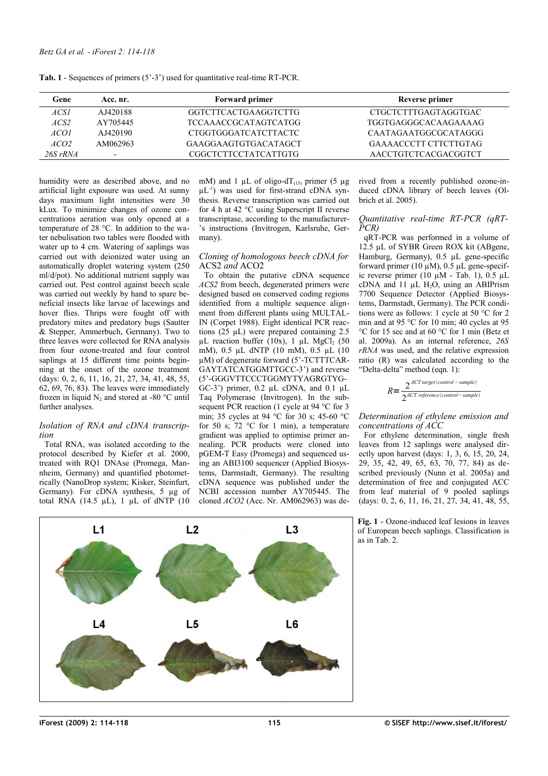<span id="page-1-0"></span>**Tab. 1** - Sequences of primers (5'-3') used for quantitative real-time RT-PCR.

| Gene             | Acc. nr.                 | <b>Forward primer</b> | Reverse primer        |
|------------------|--------------------------|-----------------------|-----------------------|
| ACSI             | AJ420188                 | GGTCTTCACTGAAGGTCTTG  | CTGCTCTTTGAGTAGGTGAC  |
| ACS2             | AY705445                 | TCCAAACCGCATAGTCATGG  | TGGTGAGGGCACAAGAAAAG  |
| ACO1             | AJ420190                 | CTGGTGGGATCATCTTACTC  | CAATAGAATGGCGCATAGGG  |
| ACO <sub>2</sub> | AM062963                 | GAAGGAAGTGTGACATAGCT  | GAAAACCCTT CTTCTTGTAG |
| $26S$ rRNA       | $\overline{\phantom{a}}$ | CGGCTCTTCCTATCATTGTG  | AACCTGTCTCACGACGGTCT  |

humidity were as described above, and no artificial light exposure was used. At sunny days maximum light intensities were 30 kLux. To minimize changes of ozone concentrations aeration was only opened at a temperature of 28 °C. In addition to the water nebulisation two tables were flooded with water up to 4 cm. Watering of saplings was carried out with deionized water using an automatically droplet watering system (250 ml/d/pot). No additional nutrient supply was carried out. Pest control against beech scale was carried out weekly by hand to spare beneficial insects like larvae of lacewings and hover flies. Thrips were fought off with predatory mites and predatory bugs (Sautter & Stepper, Ammerbuch, Germany). Two to three leaves were collected for RNA analysis from four ozone-treated and four control saplings at 15 different time points beginning at the onset of the ozone treatment (days: 0, 2, 6, 11, 16, 21, 27, 34, 41, 48, 55, 62, 69, 76, 83). The leaves were immediately frozen in liquid  $N_2$  and stored at -80 °C until further analyses.

#### *Isolation of RNA and cDNA transcription*

Total RNA, was isolated according to the protocol described by Kiefer et al. 2000, treated with RQ1 DNAse (Promega, Mannheim, Germany) and quantified photometrically (NanoDrop system; Kisker, Steinfurt, Germany). For cDNA synthesis, 5 µg of total RNA (14.5  $\mu$ L), 1  $\mu$ L of dNTP (10 mM) and 1  $\mu$ L of oligo-dT<sub>(15)</sub> primer (5  $\mu$ g  $\mu L^{-1}$ ) was used for first-strand cDNA synthesis. Reverse transcription was carried out for 4 h at 42 °C using Superscript II reverse transcriptase, according to the manufacturer- 's instructions (Invitrogen, Karlsruhe, Germany).

## *Cloning of homologous beech cDNA for* ACS2 *and* ACO2

To obtain the putative cDNA sequence *ACS2* from beech, degenerated primers were designed based on conserved coding regions identified from a multiple sequence alignment from different plants using MULTAL-IN (Corpet 1988). Eight identical PCR reactions  $(25 \text{ µL})$  were prepared containing 2.5  $\mu$ L reaction buffer (10x), 1  $\mu$ L MgCl<sub>2</sub> (50 mM), 0.5 µL dNTP (10 mM), 0.5 µL (10 µM) of degenerate forward (5'-TCTTTCAR-GAYTATCATGGMTTGCC-3') and reverse (5'-GGGVTTCCCTGGMYTYAGRGTYG-GC-3') primer,  $0.2$   $\mu$ L cDNA, and  $0.1$   $\mu$ L Taq Polymerase (Invitrogen). In the subsequent PCR reaction (1 cycle at 94 °C for 3 min; 35 cycles at 94 °C for 30 s; 45-60 °C for 50 s;  $72 \text{ °C}$  for 1 min), a temperature gradient was applied to optimise primer annealing. PCR products were cloned into pGEM-T Easy (Promega) and sequenced using an ABI3100 sequencer (Applied Biosystems, Darmstadt, Germany). The resulting cDNA sequence was published under the NCBI accession number AY705445. The cloned *ACO2* (Acc. Nr. AM062963) was derived from a recently published ozone-induced cDNA library of beech leaves (Olbrich et al. 2005).

## *Quantitative real-time RT-PCR (qRT-PCR)*

qRT-PCR was performed in a volume of 12.5 µL of SYBR Green ROX kit (ABgene, Hamburg, Germany), 0.5 µL gene-specific forward primer (10  $\mu$ M), 0.5  $\mu$ L gene-specific reverse primer (10  $\mu$ M - [Tab. 1\)](#page-1-0), 0.5  $\mu$ L cDNA and 11  $\mu$ L H<sub>2</sub>O, using an ABIPrism 7700 Sequence Detector (Applied Biosystems, Darmstadt, Germany). The PCR conditions were as follows: 1 cycle at 50 °C for 2 min and at 95 °C for 10 min; 40 cycles at 95 °C for 15 sec and at 60 °C for 1 min (Betz et al. 2009a). As an internal reference, *26S rRNA* was used, and the relative expression ratio (R) was calculated according to the "Delta-delta" method (eqn. 1):

$$
R = \frac{2^{ACT\ target (control-sample)}}{2^{ACT\ reference (control-sample)}}
$$

## *Determination of ethylene emission and concentrations of ACC*

For ethylene determination, single fresh leaves from 12 saplings were analysed directly upon harvest (days: 1, 3, 6, 15, 20, 24, 29, 35, 42, 49, 65, 63, 70, 77, 84) as described previously (Nunn et al. 2005a) and determination of free and conjugated ACC from leaf material of 9 pooled saplings (days: 0, 2, 6, 11, 16, 21, 27, 34, 41, 48, 55,

<span id="page-1-1"></span>**Fig. 1** - Ozone-induced leaf lesions in leaves of European beech saplings. Classification is as in [Tab. 2.](#page-2-0)

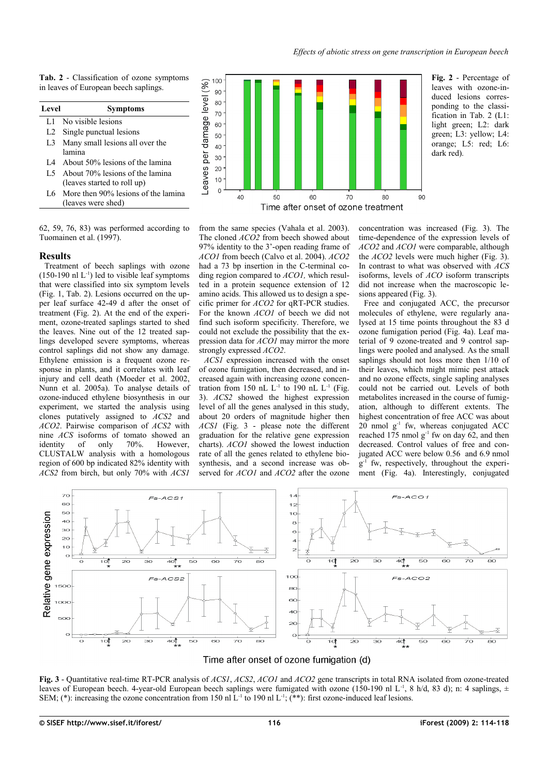<span id="page-2-0"></span>**Tab. 2** - Classification of ozone symptoms in leaves of European beech saplings.

| Level          | <b>Symptoms</b>                         |  |
|----------------|-----------------------------------------|--|
| L1.            | No visible lesions                      |  |
| L <sub>2</sub> | Single punctual lesions                 |  |
| L3             | Many small lesions all over the         |  |
|                | lamina                                  |  |
|                | I.4 About 50% lesions of the lamina     |  |
|                | 1.5 About 70% lesions of the lamina     |  |
|                | (leaves started to roll up)             |  |
|                | 1.6 More then 90% lesions of the lamina |  |
|                | (leaves were shed)                      |  |

62, 59, 76, 83) was performed according to Tuomainen et al. (1997).

# **Results**

Treatment of beech saplings with ozone  $(150-190 \text{ nl L}^{-1})$  led to visible leaf symptoms that were classified into six symptom levels [\(Fig. 1,](#page-1-1) [Tab. 2\)](#page-2-0). Lesions occurred on the upper leaf surface 42-49 d after the onset of treatment [\(Fig. 2\)](#page-2-2). At the end of the experiment, ozone-treated saplings started to shed the leaves. Nine out of the 12 treated saplings developed severe symptoms, whereas control saplings did not show any damage. Ethylene emission is a frequent ozone response in plants, and it correlates with leaf injury and cell death (Moeder et al. 2002, Nunn et al. 2005a). To analyse details of ozone-induced ethylene biosynthesis in our experiment, we started the analysis using clones putatively assigned to *ACS2* and *ACO2*. Pairwise comparison of *ACS2* with nine *ACS* isoforms of tomato showed an identity of only 70%. However, CLUSTALW analysis with a homologous region of 600 bp indicated 82% identity with *ACS2* from birch, but only 70% with *ACS1*



from the same species (Vahala et al. 2003). The cloned *ACO2* from beech showed about 97% identity to the 3'-open reading frame of *ACO1* from beech (Calvo et al. 2004). *ACO2* had a 73 bp insertion in the C-terminal coding region compared to *ACO1,* which resulted in a protein sequence extension of 12 amino acids. This allowed us to design a specific primer for *ACO2* for qRT-PCR studies. For the known *ACO1* of beech we did not find such isoform specificity. Therefore, we could not exclude the possibility that the expression data for *ACO1* may mirror the more strongly expressed *ACO2*.

*ACS1* expression increased with the onset of ozone fumigation, then decreased, and increased again with increasing ozone concentration from 150 nL  $L^{-1}$  to 190 nL  $L^{-1}$  [\(Fig.](#page-2-1) [3\)](#page-2-1). *ACS2* showed the highest expression level of all the genes analysed in this study, about 20 orders of magnitude higher then *ACS1* [\(Fig. 3](#page-2-1) - please note the different graduation for the relative gene expression charts). *ACO1* showed the lowest induction rate of all the genes related to ethylene biosynthesis, and a second increase was observed for *ACO1* and *ACO2* after the ozone <span id="page-2-2"></span>concentration was increased [\(Fig. 3\)](#page-2-1). The time-dependence of the expression levels of *ACO2* and *ACO1* were comparable, although the *ACO2* levels were much higher [\(Fig. 3\)](#page-2-1). In contrast to what was observed with *ACS* isoforms, levels of *ACO* isoform transcripts did not increase when the macroscopic lesions appeared [\(Fig. 3\)](#page-2-1).

Free and conjugated ACC, the precursor molecules of ethylene, were regularly analysed at 15 time points throughout the 83 d ozone fumigation period [\(Fig. 4a](#page-3-0)). Leaf material of 9 ozone-treated and 9 control saplings were pooled and analysed. As the small saplings should not loss more then 1/10 of their leaves, which might mimic pest attack and no ozone effects, single sapling analyses could not be carried out. Levels of both metabolites increased in the course of fumigation, although to different extents. The highest concentration of free ACC was about  $20$  nmol  $g^{-1}$  fw, whereas conjugated ACC reached 175 nmol  $g^{-1}$  fw on day 62, and then decreased. Control values of free and conjugated ACC were below 0.56 and 6.9 nmol g -1 fw, respectively, throughout the experiment [\(Fig. 4a](#page-3-0)). Interestingly, conjugated



# Time after onset of ozone fumigation (d)

<span id="page-2-1"></span>**Fig. 3** - Quantitative real-time RT-PCR analysis of *ACS1*, *ACS2*, *ACO1* and *ACO2* gene transcripts in total RNA isolated from ozone-treated leaves of European beech. 4-year-old European beech saplings were fumigated with ozone (150-190 nl L<sup>-1</sup>, 8 h/d, 83 d); n: 4 saplings,  $\pm$ SEM; (\*): increasing the ozone concentration from 150 nl L<sup>-1</sup> to 190 nl L<sup>-1</sup>; (\*\*): first ozone-induced leaf lesions.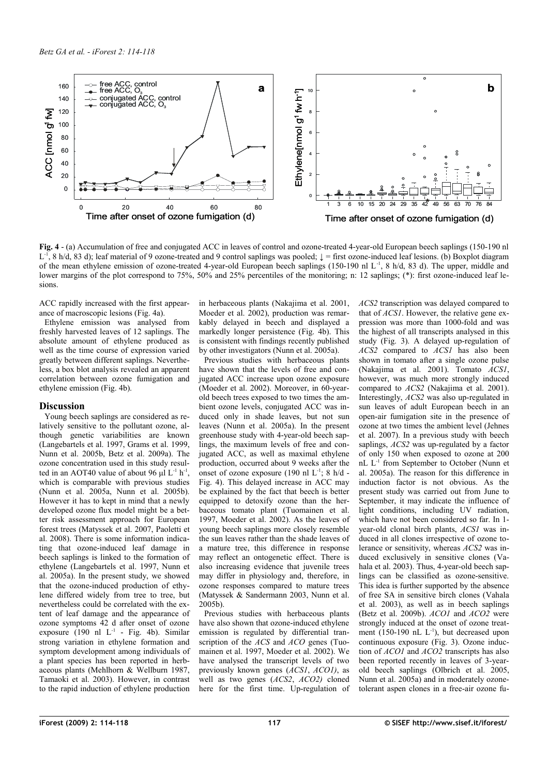

<span id="page-3-0"></span>**Fig. 4** - (a) Accumulation of free and conjugated ACC in leaves of control and ozone-treated 4-year-old European beech saplings (150-190 nl  $L^{-1}$ , 8 h/d, 83 d); leaf material of 9 ozone-treated and 9 control saplings was pooled;  $\downarrow$  = first ozone-induced leaf lesions. (b) Boxplot diagram of the mean ethylene emission of ozone-treated 4-year-old European beech saplings (150-190 nl L-1, 8 h/d, 83 d). The upper, middle and lower margins of the plot correspond to 75%, 50% and 25% percentiles of the monitoring; n: 12 saplings; (\*): first ozone-induced leaf lesions.

ACC rapidly increased with the first appearance of macroscopic lesions [\(Fig. 4a](#page-3-0)).

Ethylene emission was analysed from freshly harvested leaves of 12 saplings. The absolute amount of ethylene produced as well as the time course of expression varied greatly between different saplings. Nevertheless, a box blot analysis revealed an apparent correlation between ozone fumigation and ethylene emission [\(Fig. 4b](#page-3-0)).

# **Discussion**

Young beech saplings are considered as relatively sensitive to the pollutant ozone, although genetic variabilities are known (Langebartels et al. 1997, Grams et al. 1999, Nunn et al. 2005b, Betz et al. 2009a). The ozone concentration used in this study resulted in an AOT40 value of about 96  $\mu$ l L<sup>-1</sup> h<sup>-1</sup>, which is comparable with previous studies (Nunn et al. 2005a, Nunn et al. 2005b). However it has to kept in mind that a newly developed ozone flux model might be a better risk assessment approach for European forest trees (Matyssek et al. 2007, Paoletti et al. 2008). There is some information indicating that ozone-induced leaf damage in beech saplings is linked to the formation of ethylene (Langebartels et al. 1997, Nunn et al. 2005a). In the present study, we showed that the ozone-induced production of ethylene differed widely from tree to tree, but nevertheless could be correlated with the extent of leaf damage and the appearance of ozone symptoms 42 d after onset of ozone exposure  $(190 \text{ nl } L^{-1}$  - [Fig. 4b](#page-3-0)). Similar strong variation in ethylene formation and symptom development among individuals of a plant species has been reported in herbaceous plants (Mehlhorn & Wellburn 1987, Tamaoki et al. 2003). However, in contrast to the rapid induction of ethylene production

in herbaceous plants (Nakajima et al. 2001, Moeder et al. 2002), production was remarkably delayed in beech and displayed a markedly longer persistence [\(Fig. 4b](#page-3-0)). This is consistent with findings recently published by other investigators (Nunn et al. 2005a).

Previous studies with herbaceous plants have shown that the levels of free and conjugated ACC increase upon ozone exposure (Moeder et al. 2002). Moreover, in 60-yearold beech trees exposed to two times the ambient ozone levels, conjugated ACC was induced only in shade leaves, but not sun leaves (Nunn et al. 2005a). In the present greenhouse study with 4-year-old beech saplings, the maximum levels of free and conjugated ACC, as well as maximal ethylene production, occurred about 9 weeks after the onset of ozone exposure  $(190 \text{ nl } L^{-1}$ ; 8 h/d -[Fig. 4\)](#page-3-0). This delayed increase in ACC may be explained by the fact that beech is better equipped to detoxify ozone than the herbaceous tomato plant (Tuomainen et al. 1997, Moeder et al. 2002). As the leaves of young beech saplings more closely resemble the sun leaves rather than the shade leaves of a mature tree, this difference in response may reflect an ontogenetic effect. There is also increasing evidence that juvenile trees may differ in physiology and, therefore, in ozone responses compared to mature trees (Matyssek & Sandermann 2003, Nunn et al. 2005b).

Previous studies with herbaceous plants have also shown that ozone-induced ethylene emission is regulated by differential transcription of the *ACS* and *ACO* genes (Tuomainen et al. 1997, Moeder et al. 2002). We have analysed the transcript levels of two previously known genes (*ACS1*, *ACO1)*, as well as two genes (*ACS2*, *ACO2)* cloned here for the first time. Up-regulation of *ACS2* transcription was delayed compared to that of *ACS1*. However, the relative gene expression was more than 1000-fold and was the highest of all transcripts analysed in this study [\(Fig. 3\)](#page-2-1). A delayed up-regulation of *ACS2* compared to *ACS1* has also been shown in tomato after a single ozone pulse (Nakajima et al. 2001). Tomato *ACS1*, however, was much more strongly induced compared to *ACS2* (Nakajima et al. 2001). Interestingly, *ACS2* was also up-regulated in sun leaves of adult European beech in an open-air fumigation site in the presence of ozone at two times the ambient level (Jehnes et al. 2007). In a previous study with beech saplings, *ACS2* was up-regulated by a factor of only 150 when exposed to ozone at 200 nL L<sup>-1</sup> from September to October (Nunn et al. 2005a). The reason for this difference in induction factor is not obvious. As the present study was carried out from June to September, it may indicate the influence of light conditions, including UV radiation, which have not been considered so far. In 1 year-old clonal birch plants, *ACS1* was induced in all clones irrespective of ozone tolerance or sensitivity, whereas *ACS2* was induced exclusively in sensitive clones (Vahala et al. 2003). Thus, 4-year-old beech saplings can be classified as ozone-sensitive. This idea is further supported by the absence of free SA in sensitive birch clones (Vahala et al. 2003), as well as in beech saplings (Betz et al. 2009b). *ACO1* and *ACO2* were strongly induced at the onset of ozone treatment  $(150-190 \text{ nL L}^{-1})$ , but decreased upon continuous exposure [\(Fig. 3\)](#page-2-1). Ozone induction of *ACO1* and *ACO2* transcripts has also been reported recently in leaves of 3-yearold beech saplings (Olbrich et al. 2005, Nunn et al. 2005a) and in moderately ozonetolerant aspen clones in a free-air ozone fu-